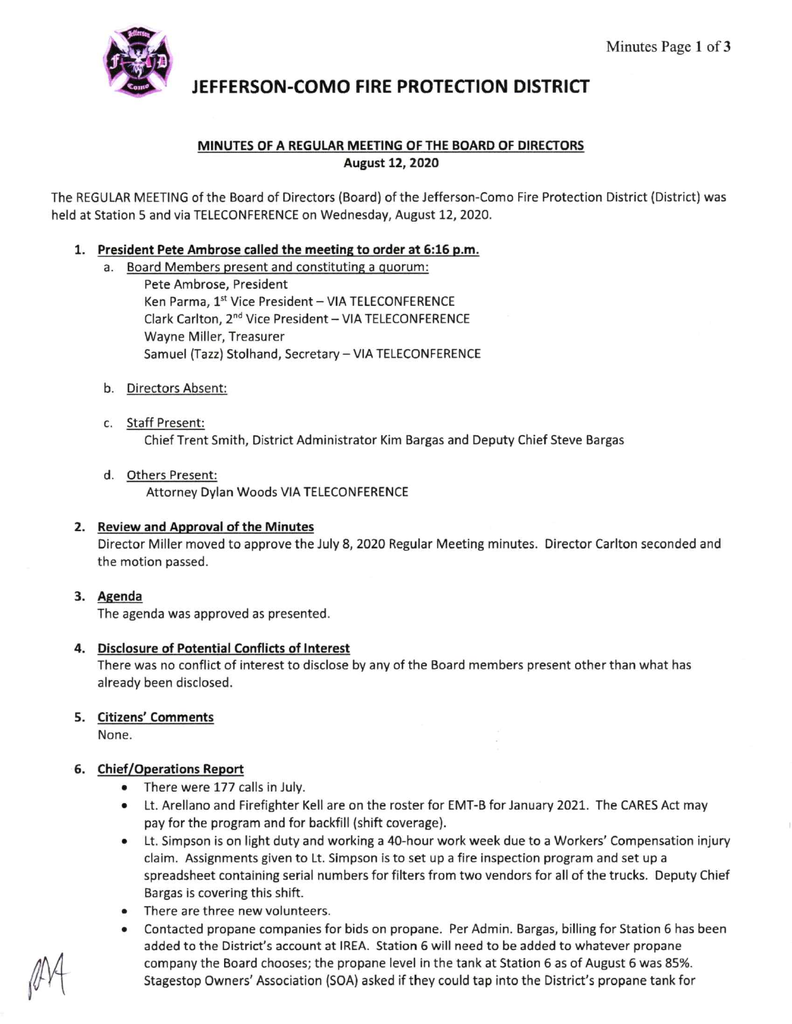

# **JEFFERSON-COMO FIRE PROTECTION DISTRICT**

# **MINUTES OF A REGULAR MEETING OF THE BOARD OF DIRECTORS August 12, 2020**

The REGULAR MEETING of the Board of Directors (Board) of the Jefferson-Como Fire Protection District (District) was held at Station 5 and via TELECONFERENCE on Wednesday, August 12, 2020.

# **1. President Pete Ambrose called the meeting to order at 6:16 p.m.**

- a. Board Members present and constituting a quorum:
	- Pete Ambrose, President Ken Parma, 1st Vice President - VIA TELECONFERENCE Clark Carlton, 2<sup>nd</sup> Vice President - VIA TELECONFERENCE Wayne Miller, Treasurer Samuel (Tazz) Stolhand, Secretary **-VIA** TELECONFERENCE
- b. Directors Absent:
- c. Staff Present: Chief Trent Smith, District Administrator Kim Bargas and Deputy Chief Steve Bargas
- d. Others Present: Attorney Dylan Woods VIA TELECONFERENCE
- **2. Review and Approval of the Minutes**

Director Miller moved to approve the July 8, 2020 Regular Meeting minutes. Director Carlton seconded and the motion passed.

**3. Agenda** 

The agenda was approved as presented.

### **4. Disclosure of Potential Conflicts of Interest**

There was no conflict of interest to disclose by any of the Board members present other than what has already been disclosed.

### **5. Citizens' Comments**

None.

### **6. Chief/Operations Report**

- There were 177 calls in July.
- Lt. Arellano and Firefighter Kell are on the roster for EMT-B for January 2021. The CARES Act may pay for the program and for backfill (shift coverage).
- Lt. Simpson is on light duty and working a 40-hour work week due to a Workers' Compensation injury claim. Assignments given to Lt. Simpson is to set up a fire inspection program and set up a spreadsheet containing serial numbers for filters from two vendors for all of the trucks. Deputy Chief Bargas is covering this shift.
- There are three new volunteers.
- Contacted propane companies for bids on propane. Per Admin. Bargas, billing for Station 6 has been added to the District's account at IREA. Station 6 will need to be added to whatever propane company the Board chooses; the propane level in the tank at Station 6 as of August 6 was 85%. Stagestop Owners' Association (SOA) asked if they could tap into the District's propane tank for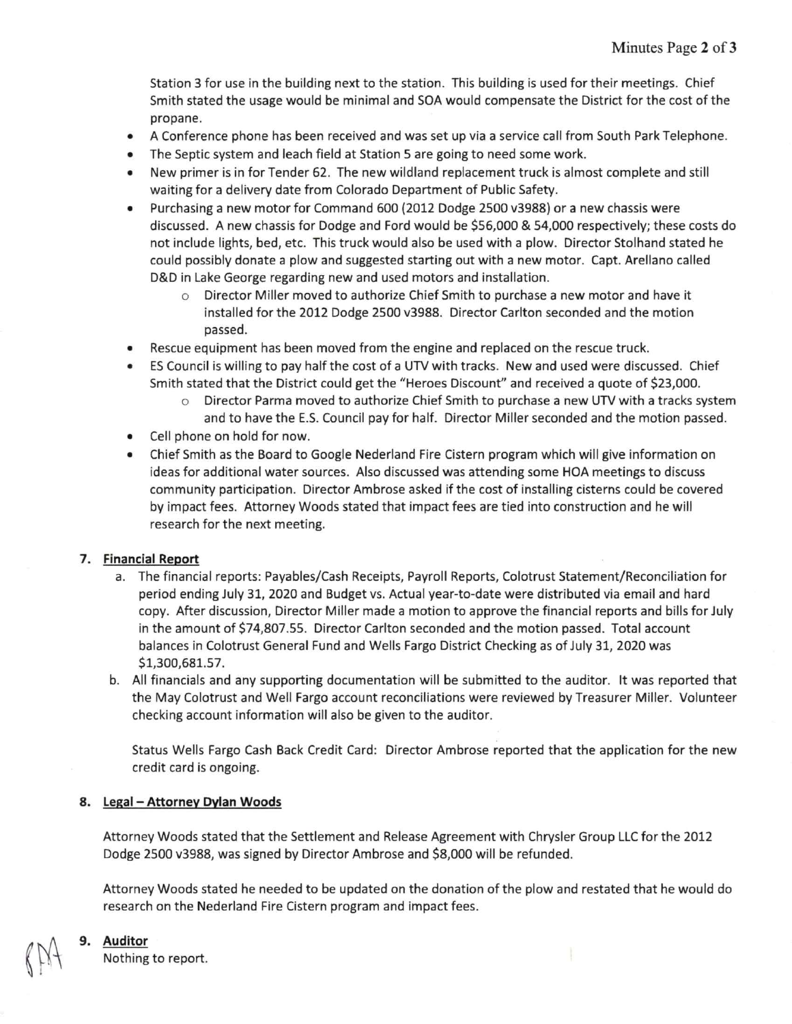Station 3 for use in the building next to the station. This building is used for their meetings. Chief Smith stated the usage would be minimal and SOA would compensate the District for the cost of the propane.

- A Conference phone has been received and was set up via a service call from South Park Telephone.
- The Septic system and leach field at Station 5 are going to need some work.
- New primer is in for Tender 62. The new wildland replacement truck is almost complete and still waiting for a delivery date from Colorado Department of Public Safety.
- Purchasing a new motor for Command 600 (2012 Dodge 2500 v3988) or a new chassis were discussed. A new chassis for Dodge and Ford would be \$56,000 & 54,000 respectively; these costs do not include lights, bed, etc. This truck would also be used with a plow. Director Stolhand stated he could possibly donate a plow and suggested starting out with a new motor. Capt. Arellano called D&D in Lake George regarding new and used motors and installation.
	- o Director Miller moved to authorize Chief Smith to purchase a new motor and have it installed for the 2012 Dodge 2500 v3988. Director Carlton seconded and the motion passed.
- Rescue equipment has been moved from the engine and replaced on the rescue truck.
- ES Council is willing to pay half the cost of a UTV with tracks. New and used were discussed. Chief Smith stated that the District could get the "Heroes Discount'' and received a quote of \$23,000.
	- $\circ$  Director Parma moved to authorize Chief Smith to purchase a new UTV with a tracks system and to have the E.S. Council pay for half. Director Miller seconded and the motion passed.
- Cell phone on hold for now.
- Chief Smith as the Board to Google Nederland Fire Cistern program which will give information on ideas for additional water sources. Also discussed was attending some HOA meetings to discuss community participation. Director Ambrose asked if the cost of installing cisterns could be covered by impact fees. Attorney Woods stated that impact fees are tied into construction and he will research for the next meeting.

#### **7. Financial Report**

- a. The financial reports: Payables/Cash Receipts, Payroll Reports, Colotrust Statement/Reconciliation for period ending July 31, 2020 and Budget vs. Actual year-to-date were distributed via email and hard copy. After discussion, Director Miller made a motion to approve the financial reports and bills for July in the amount of \$74,807.55. Director Carlton seconded and the motion passed. Total account balances in Colotrust General Fund and Wells Fargo District Checking as of July 31, 2020 was \$1,300,681.57.
- b. All financials and any supporting documentation will be submitted to the auditor. It was reported that the May Colotrust and Well Fargo account reconciliations were reviewed by Treasurer Miller. Volunteer checking account information will also be given to the auditor.

Status Wells Fargo Cash Back Credit Card: Director Ambrose reported that the application for the new credit card is ongoing.

#### **8. Legal - Attorney Dylan Woods**

Attorney Woods stated that the Settlement and Release Agreement with Chrysler Group LLC for the 2012 Dodge 2500 v3988, was signed by Director Ambrose and \$8,000 will be refunded.

Attorney Woods stated he needed to be updated on the donation of the plow and restated that he would do research on the Nederland Fire Cistern program and impact fees.

# **9. Auditor**

Nothing to report.